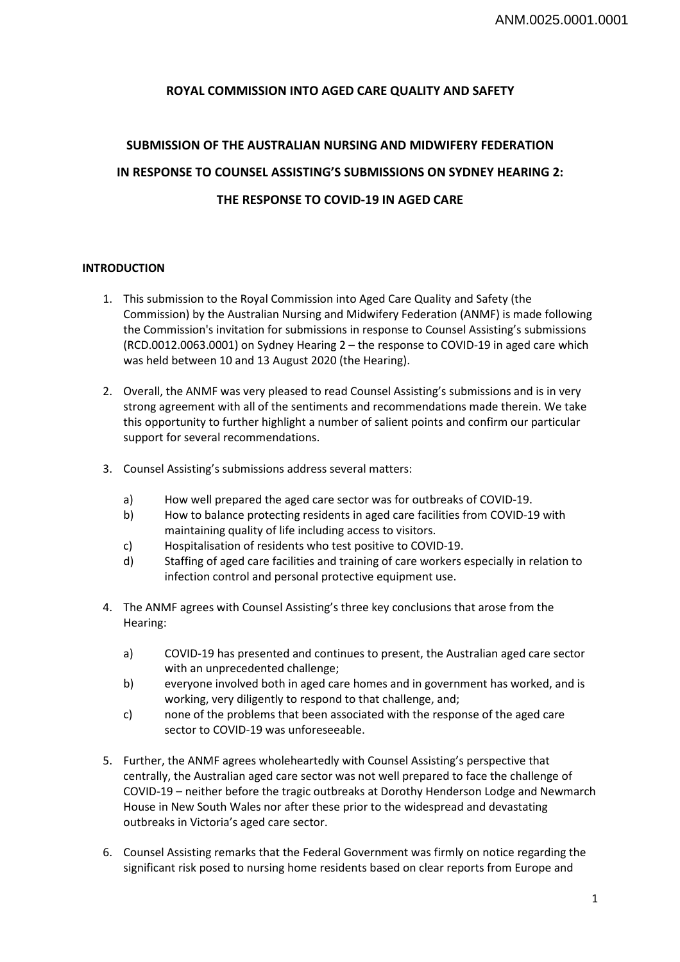# **ROYAL COMMISSION INTO AGED CARE QUALITY AND SAFETY**

# **SUBMISSION OF THE AUSTRALIAN NURSING AND MIDWIFERY FEDERATION IN RESPONSE TO COUNSEL ASSISTING'S SUBMISSIONS ON SYDNEY HEARING 2: THE RESPONSE TO COVID-19 IN AGED CARE**

## **INTRODUCTION**

- 1. This submission to the Royal Commission into Aged Care Quality and Safety (the Commission) by the Australian Nursing and Midwifery Federation (ANMF) is made following the Commission's invitation for submissions in response to Counsel Assisting's submissions (RCD.0012.0063.0001) on Sydney Hearing 2 – the response to COVID-19 in aged care which was held between 10 and 13 August 2020 (the Hearing).
- 2. Overall, the ANMF was very pleased to read Counsel Assisting's submissions and is in very strong agreement with all of the sentiments and recommendations made therein. We take this opportunity to further highlight a number of salient points and confirm our particular support for several recommendations.
- 3. Counsel Assisting's submissions address several matters:
	- a) How well prepared the aged care sector was for outbreaks of COVID-19.
	- b) How to balance protecting residents in aged care facilities from COVID-19 with maintaining quality of life including access to visitors.
	- c) Hospitalisation of residents who test positive to COVID-19.
	- d) Staffing of aged care facilities and training of care workers especially in relation to infection control and personal protective equipment use.
- 4. The ANMF agrees with Counsel Assisting's three key conclusions that arose from the Hearing:
	- a) COVID-19 has presented and continues to present, the Australian aged care sector with an unprecedented challenge;
	- b) everyone involved both in aged care homes and in government has worked, and is working, very diligently to respond to that challenge, and;
	- c) none of the problems that been associated with the response of the aged care sector to COVID-19 was unforeseeable.
- 5. Further, the ANMF agrees wholeheartedly with Counsel Assisting's perspective that centrally, the Australian aged care sector was not well prepared to face the challenge of COVID-19 – neither before the tragic outbreaks at Dorothy Henderson Lodge and Newmarch House in New South Wales nor after these prior to the widespread and devastating outbreaks in Victoria's aged care sector.
- 6. Counsel Assisting remarks that the Federal Government was firmly on notice regarding the significant risk posed to nursing home residents based on clear reports from Europe and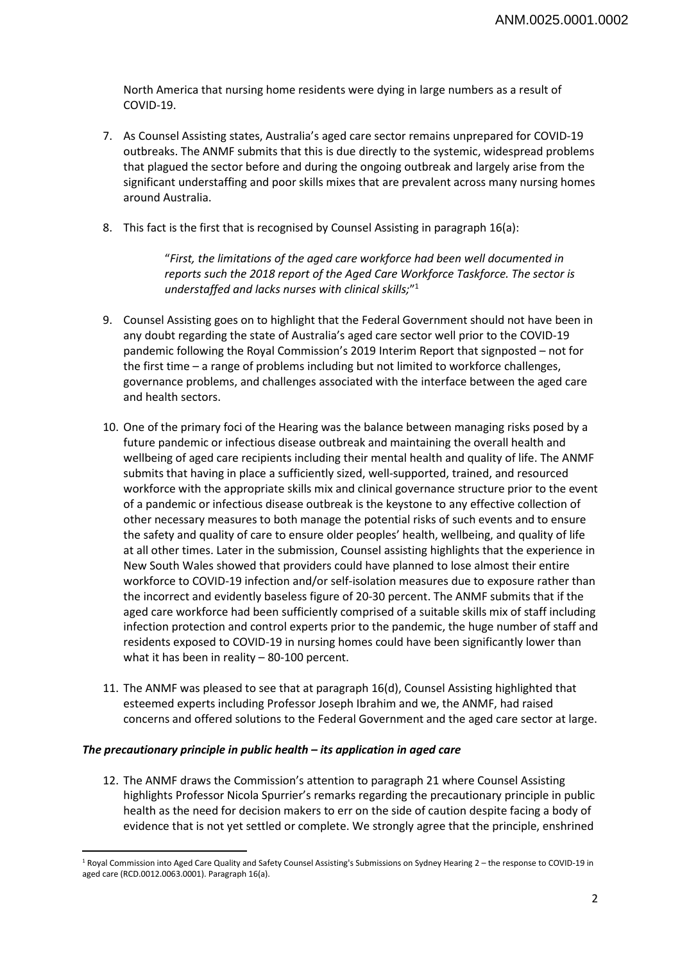North America that nursing home residents were dying in large numbers as a result of COVID-19.

- 7. As Counsel Assisting states, Australia's aged care sector remains unprepared for COVID-19 outbreaks. The ANMF submits that this is due directly to the systemic, widespread problems that plagued the sector before and during the ongoing outbreak and largely arise from the significant understaffing and poor skills mixes that are prevalent across many nursing homes around Australia.
- 8. This fact is the first that is recognised by Counsel Assisting in paragraph 16(a):

"*First, the limitations of the aged care workforce had been well documented in reports such the 2018 report of the Aged Care Workforce Taskforce. The sector is understaffed and lacks nurses with clinical skills;*"1

- 9. Counsel Assisting goes on to highlight that the Federal Government should not have been in any doubt regarding the state of Australia's aged care sector well prior to the COVID-19 pandemic following the Royal Commission's 2019 Interim Report that signposted – not for the first time – a range of problems including but not limited to workforce challenges, governance problems, and challenges associated with the interface between the aged care and health sectors.
- 10. One of the primary foci of the Hearing was the balance between managing risks posed by a future pandemic or infectious disease outbreak and maintaining the overall health and wellbeing of aged care recipients including their mental health and quality of life. The ANMF submits that having in place a sufficiently sized, well-supported, trained, and resourced workforce with the appropriate skills mix and clinical governance structure prior to the event of a pandemic or infectious disease outbreak is the keystone to any effective collection of other necessary measures to both manage the potential risks of such events and to ensure the safety and quality of care to ensure older peoples' health, wellbeing, and quality of life at all other times. Later in the submission, Counsel assisting highlights that the experience in New South Wales showed that providers could have planned to lose almost their entire workforce to COVID-19 infection and/or self-isolation measures due to exposure rather than the incorrect and evidently baseless figure of 20-30 percent. The ANMF submits that if the aged care workforce had been sufficiently comprised of a suitable skills mix of staff including infection protection and control experts prior to the pandemic, the huge number of staff and residents exposed to COVID-19 in nursing homes could have been significantly lower than what it has been in reality – 80-100 percent.
- 11. The ANMF was pleased to see that at paragraph 16(d), Counsel Assisting highlighted that esteemed experts including Professor Joseph Ibrahim and we, the ANMF, had raised concerns and offered solutions to the Federal Government and the aged care sector at large.

#### *The precautionary principle in public health – its application in aged care*

 $\overline{\phantom{a}}$ 

12. The ANMF draws the Commission's attention to paragraph 21 where Counsel Assisting highlights Professor Nicola Spurrier's remarks regarding the precautionary principle in public health as the need for decision makers to err on the side of caution despite facing a body of evidence that is not yet settled or complete. We strongly agree that the principle, enshrined

<sup>1</sup> Royal Commission into Aged Care Quality and Safety Counsel Assisting's Submissions on Sydney Hearing 2 – the response to COVID-19 in aged care (RCD.0012.0063.0001). Paragraph 16(a).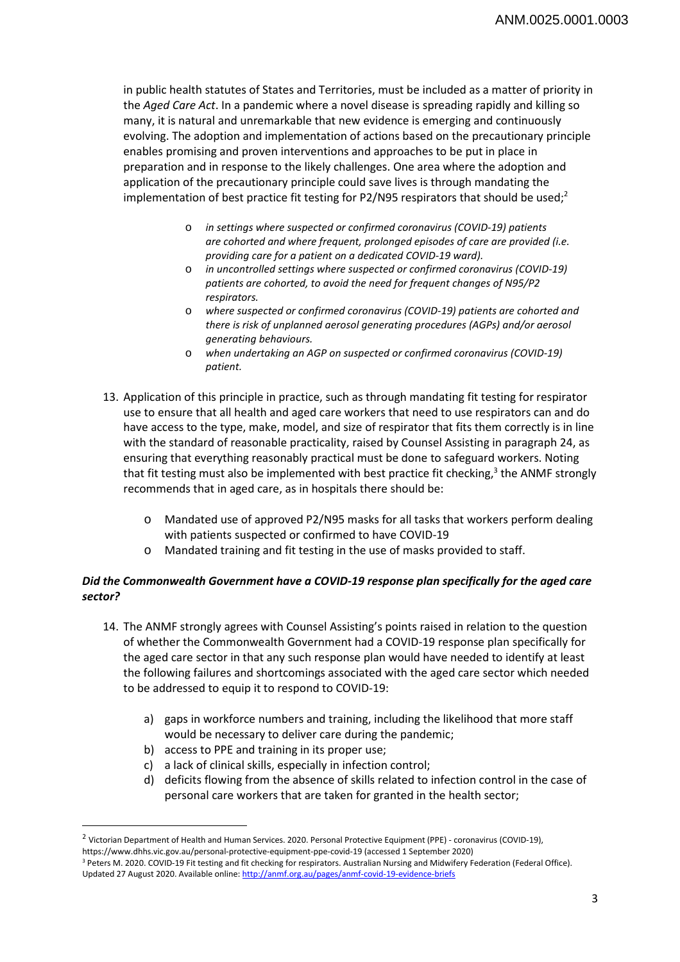in public health statutes of States and Territories, must be included as a matter of priority in the *Aged Care Act*. In a pandemic where a novel disease is spreading rapidly and killing so many, it is natural and unremarkable that new evidence is emerging and continuously evolving. The adoption and implementation of actions based on the precautionary principle enables promising and proven interventions and approaches to be put in place in preparation and in response to the likely challenges. One area where the adoption and application of the precautionary principle could save lives is through mandating the implementation of best practice fit testing for P2/N95 respirators that should be used;<sup>2</sup>

- o *in settings where suspected or confirmed coronavirus (COVID-19) patients are cohorted and where frequent, prolonged episodes of care are provided (i.e. providing care for a patient on a dedicated COVID-19 ward).*
- o *in uncontrolled settings where suspected or confirmed coronavirus (COVID-19) patients are cohorted, to avoid the need for frequent changes of N95/P2 respirators.*
- o *where suspected or confirmed coronavirus (COVID-19) patients are cohorted and there is risk of unplanned aerosol generating procedures (AGPs) and/or aerosol generating behaviours.*
- o *when undertaking an AGP on suspected or confirmed coronavirus (COVID-19) patient.*
- 13. Application of this principle in practice, such as through mandating fit testing for respirator use to ensure that all health and aged care workers that need to use respirators can and do have access to the type, make, model, and size of respirator that fits them correctly is in line with the standard of reasonable practicality, raised by Counsel Assisting in paragraph 24, as ensuring that everything reasonably practical must be done to safeguard workers. Noting that fit testing must also be implemented with best practice fit checking,<sup>3</sup> the ANMF strongly recommends that in aged care, as in hospitals there should be:
	- o Mandated use of approved P2/N95 masks for all tasks that workers perform dealing with patients suspected or confirmed to have COVID-19
	- o Mandated training and fit testing in the use of masks provided to staff.

# *Did the Commonwealth Government have a COVID-19 response plan specifically for the aged care sector?*

- 14. The ANMF strongly agrees with Counsel Assisting's points raised in relation to the question of whether the Commonwealth Government had a COVID-19 response plan specifically for the aged care sector in that any such response plan would have needed to identify at least the following failures and shortcomings associated with the aged care sector which needed to be addressed to equip it to respond to COVID-19:
	- a) gaps in workforce numbers and training, including the likelihood that more staff would be necessary to deliver care during the pandemic;
	- b) access to PPE and training in its proper use;

 $\overline{\phantom{a}}$ 

- c) a lack of clinical skills, especially in infection control;
- d) deficits flowing from the absence of skills related to infection control in the case of personal care workers that are taken for granted in the health sector;

<sup>2</sup> Victorian Department of Health and Human Services. 2020. Personal Protective Equipment (PPE) - coronavirus (COVID-19), https://www.dhhs.vic.gov.au/personal-protective-equipment-ppe-covid-19 (accessed 1 September 2020)

<sup>&</sup>lt;sup>3</sup> Peters M. 2020. COVID-19 Fit testing and fit checking for respirators. Australian Nursing and Midwifery Federation (Federal Office). Updated 27 August 2020. Available online: http://anmf.org.au/pages/anmf-covid-19-evidence-briefs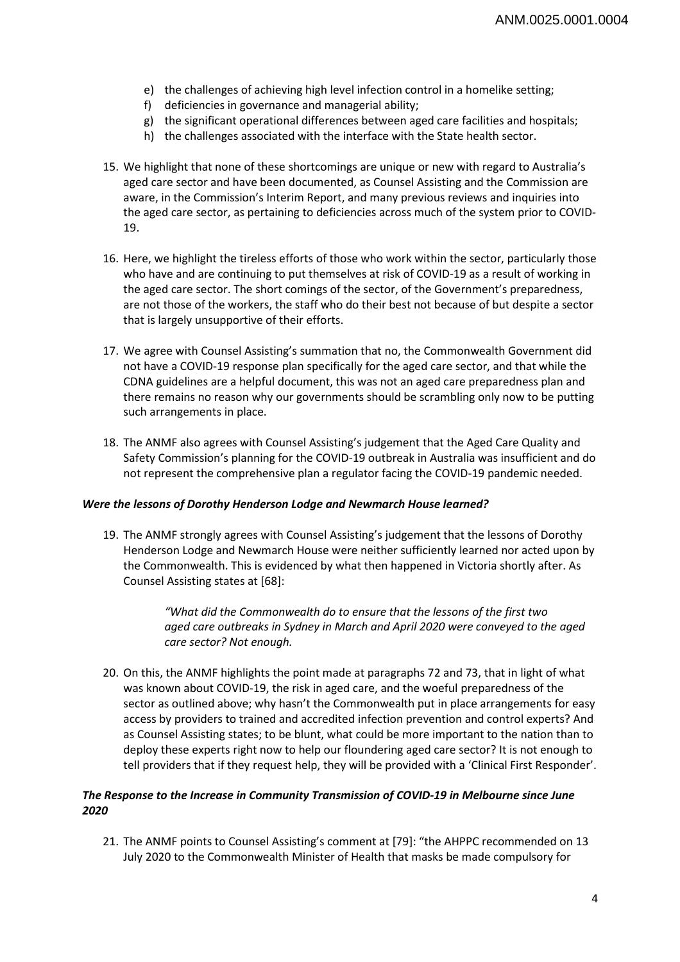- e) the challenges of achieving high level infection control in a homelike setting;
- f) deficiencies in governance and managerial ability;
- g) the significant operational differences between aged care facilities and hospitals;
- h) the challenges associated with the interface with the State health sector.
- 15. We highlight that none of these shortcomings are unique or new with regard to Australia's aged care sector and have been documented, as Counsel Assisting and the Commission are aware, in the Commission's Interim Report, and many previous reviews and inquiries into the aged care sector, as pertaining to deficiencies across much of the system prior to COVID-19.
- 16. Here, we highlight the tireless efforts of those who work within the sector, particularly those who have and are continuing to put themselves at risk of COVID-19 as a result of working in the aged care sector. The short comings of the sector, of the Government's preparedness, are not those of the workers, the staff who do their best not because of but despite a sector that is largely unsupportive of their efforts.
- 17. We agree with Counsel Assisting's summation that no, the Commonwealth Government did not have a COVID-19 response plan specifically for the aged care sector, and that while the CDNA guidelines are a helpful document, this was not an aged care preparedness plan and there remains no reason why our governments should be scrambling only now to be putting such arrangements in place.
- 18. The ANMF also agrees with Counsel Assisting's judgement that the Aged Care Quality and Safety Commission's planning for the COVID-19 outbreak in Australia was insufficient and do not represent the comprehensive plan a regulator facing the COVID-19 pandemic needed.

#### *Were the lessons of Dorothy Henderson Lodge and Newmarch House learned?*

19. The ANMF strongly agrees with Counsel Assisting's judgement that the lessons of Dorothy Henderson Lodge and Newmarch House were neither sufficiently learned nor acted upon by the Commonwealth. This is evidenced by what then happened in Victoria shortly after. As Counsel Assisting states at [68]:

> *"What did the Commonwealth do to ensure that the lessons of the first two aged care outbreaks in Sydney in March and April 2020 were conveyed to the aged care sector? Not enough.*

20. On this, the ANMF highlights the point made at paragraphs 72 and 73, that in light of what was known about COVID-19, the risk in aged care, and the woeful preparedness of the sector as outlined above; why hasn't the Commonwealth put in place arrangements for easy access by providers to trained and accredited infection prevention and control experts? And as Counsel Assisting states; to be blunt, what could be more important to the nation than to deploy these experts right now to help our floundering aged care sector? It is not enough to tell providers that if they request help, they will be provided with a 'Clinical First Responder'.

## *The Response to the Increase in Community Transmission of COVID-19 in Melbourne since June 2020*

21. The ANMF points to Counsel Assisting's comment at [79]: "the AHPPC recommended on 13 July 2020 to the Commonwealth Minister of Health that masks be made compulsory for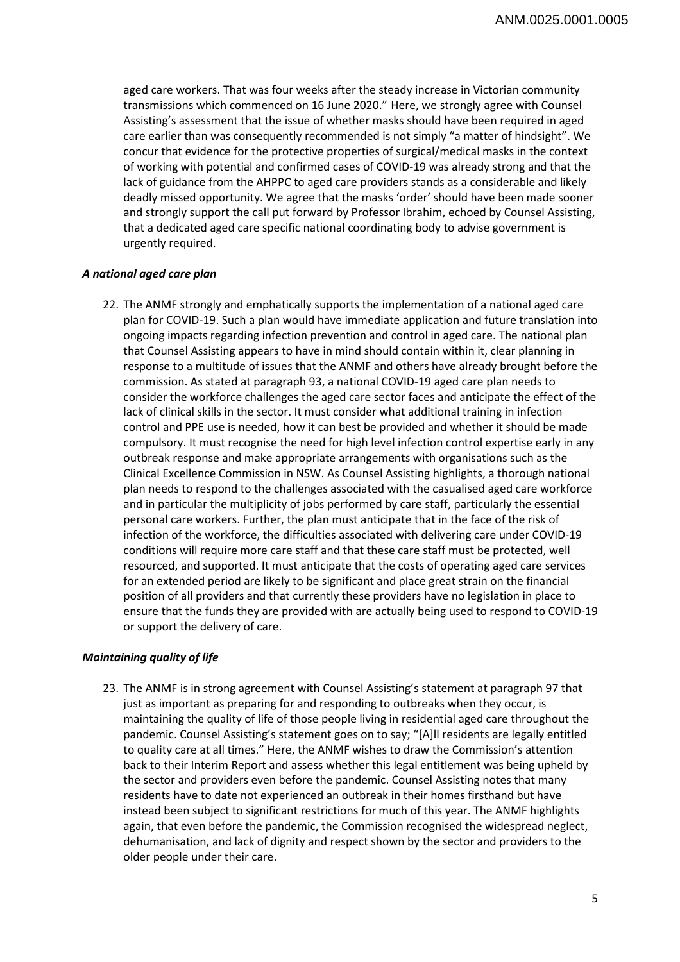aged care workers. That was four weeks after the steady increase in Victorian community transmissions which commenced on 16 June 2020." Here, we strongly agree with Counsel Assisting's assessment that the issue of whether masks should have been required in aged care earlier than was consequently recommended is not simply "a matter of hindsight". We concur that evidence for the protective properties of surgical/medical masks in the context of working with potential and confirmed cases of COVID-19 was already strong and that the lack of guidance from the AHPPC to aged care providers stands as a considerable and likely deadly missed opportunity. We agree that the masks 'order' should have been made sooner and strongly support the call put forward by Professor Ibrahim, echoed by Counsel Assisting, that a dedicated aged care specific national coordinating body to advise government is urgently required.

#### *A national aged care plan*

22. The ANMF strongly and emphatically supports the implementation of a national aged care plan for COVID-19. Such a plan would have immediate application and future translation into ongoing impacts regarding infection prevention and control in aged care. The national plan that Counsel Assisting appears to have in mind should contain within it, clear planning in response to a multitude of issues that the ANMF and others have already brought before the commission. As stated at paragraph 93, a national COVID-19 aged care plan needs to consider the workforce challenges the aged care sector faces and anticipate the effect of the lack of clinical skills in the sector. It must consider what additional training in infection control and PPE use is needed, how it can best be provided and whether it should be made compulsory. It must recognise the need for high level infection control expertise early in any outbreak response and make appropriate arrangements with organisations such as the Clinical Excellence Commission in NSW. As Counsel Assisting highlights, a thorough national plan needs to respond to the challenges associated with the casualised aged care workforce and in particular the multiplicity of jobs performed by care staff, particularly the essential personal care workers. Further, the plan must anticipate that in the face of the risk of infection of the workforce, the difficulties associated with delivering care under COVID-19 conditions will require more care staff and that these care staff must be protected, well resourced, and supported. It must anticipate that the costs of operating aged care services for an extended period are likely to be significant and place great strain on the financial position of all providers and that currently these providers have no legislation in place to ensure that the funds they are provided with are actually being used to respond to COVID-19 or support the delivery of care.

## *Maintaining quality of life*

23. The ANMF is in strong agreement with Counsel Assisting's statement at paragraph 97 that just as important as preparing for and responding to outbreaks when they occur, is maintaining the quality of life of those people living in residential aged care throughout the pandemic. Counsel Assisting's statement goes on to say; "[A]ll residents are legally entitled to quality care at all times." Here, the ANMF wishes to draw the Commission's attention back to their Interim Report and assess whether this legal entitlement was being upheld by the sector and providers even before the pandemic. Counsel Assisting notes that many residents have to date not experienced an outbreak in their homes firsthand but have instead been subject to significant restrictions for much of this year. The ANMF highlights again, that even before the pandemic, the Commission recognised the widespread neglect, dehumanisation, and lack of dignity and respect shown by the sector and providers to the older people under their care.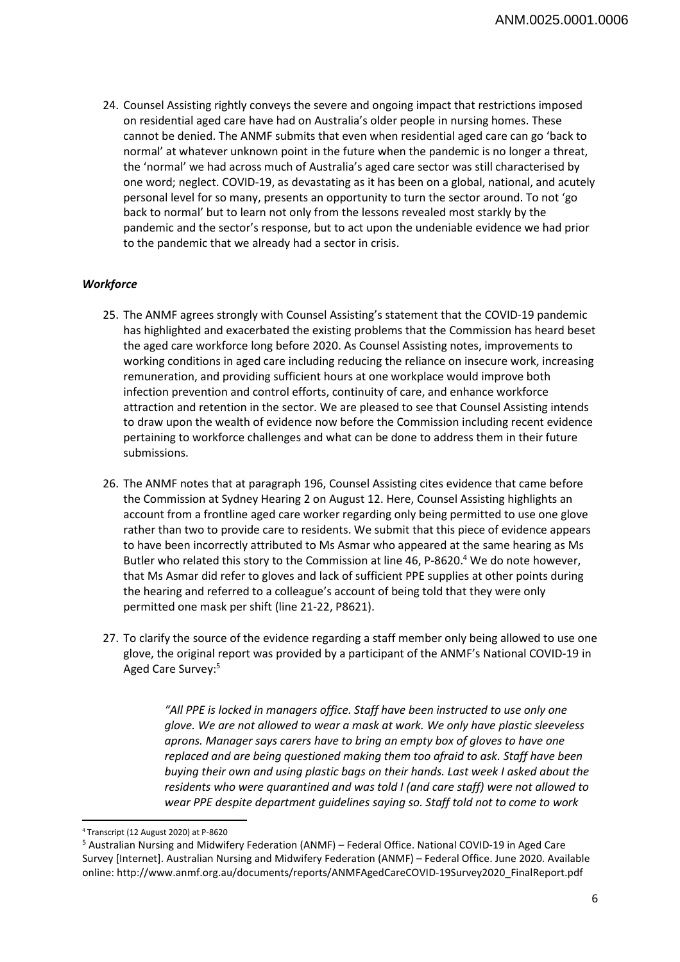24. Counsel Assisting rightly conveys the severe and ongoing impact that restrictions imposed on residential aged care have had on Australia's older people in nursing homes. These cannot be denied. The ANMF submits that even when residential aged care can go 'back to normal' at whatever unknown point in the future when the pandemic is no longer a threat, the 'normal' we had across much of Australia's aged care sector was still characterised by one word; neglect. COVID-19, as devastating as it has been on a global, national, and acutely personal level for so many, presents an opportunity to turn the sector around. To not 'go back to normal' but to learn not only from the lessons revealed most starkly by the pandemic and the sector's response, but to act upon the undeniable evidence we had prior to the pandemic that we already had a sector in crisis.

## *Workforce*

- 25. The ANMF agrees strongly with Counsel Assisting's statement that the COVID-19 pandemic has highlighted and exacerbated the existing problems that the Commission has heard beset the aged care workforce long before 2020. As Counsel Assisting notes, improvements to working conditions in aged care including reducing the reliance on insecure work, increasing remuneration, and providing sufficient hours at one workplace would improve both infection prevention and control efforts, continuity of care, and enhance workforce attraction and retention in the sector. We are pleased to see that Counsel Assisting intends to draw upon the wealth of evidence now before the Commission including recent evidence pertaining to workforce challenges and what can be done to address them in their future submissions.
- 26. The ANMF notes that at paragraph 196, Counsel Assisting cites evidence that came before the Commission at Sydney Hearing 2 on August 12. Here, Counsel Assisting highlights an account from a frontline aged care worker regarding only being permitted to use one glove rather than two to provide care to residents. We submit that this piece of evidence appears to have been incorrectly attributed to Ms Asmar who appeared at the same hearing as Ms Butler who related this story to the Commission at line 46, P-8620.<sup>4</sup> We do note however, that Ms Asmar did refer to gloves and lack of sufficient PPE supplies at other points during the hearing and referred to a colleague's account of being told that they were only permitted one mask per shift (line 21-22, P8621).
- 27. To clarify the source of the evidence regarding a staff member only being allowed to use one glove, the original report was provided by a participant of the ANMF's National COVID-19 in Aged Care Survey:5

*"All PPE is locked in managers office. Staff have been instructed to use only one glove. We are not allowed to wear a mask at work. We only have plastic sleeveless aprons. Manager says carers have to bring an empty box of gloves to have one replaced and are being questioned making them too afraid to ask. Staff have been buying their own and using plastic bags on their hands. Last week I asked about the residents who were quarantined and was told I (and care staff) were not allowed to wear PPE despite department guidelines saying so. Staff told not to come to work* 

 $\overline{\phantom{a}}$ 4 Transcript (12 August 2020) at P-8620

<sup>&</sup>lt;sup>5</sup> Australian Nursing and Midwifery Federation (ANMF) – Federal Office. National COVID-19 in Aged Care Survey [Internet]. Australian Nursing and Midwifery Federation (ANMF) – Federal Office. June 2020. Available online: http://www.anmf.org.au/documents/reports/ANMFAgedCareCOVID-19Survey2020\_FinalReport.pdf